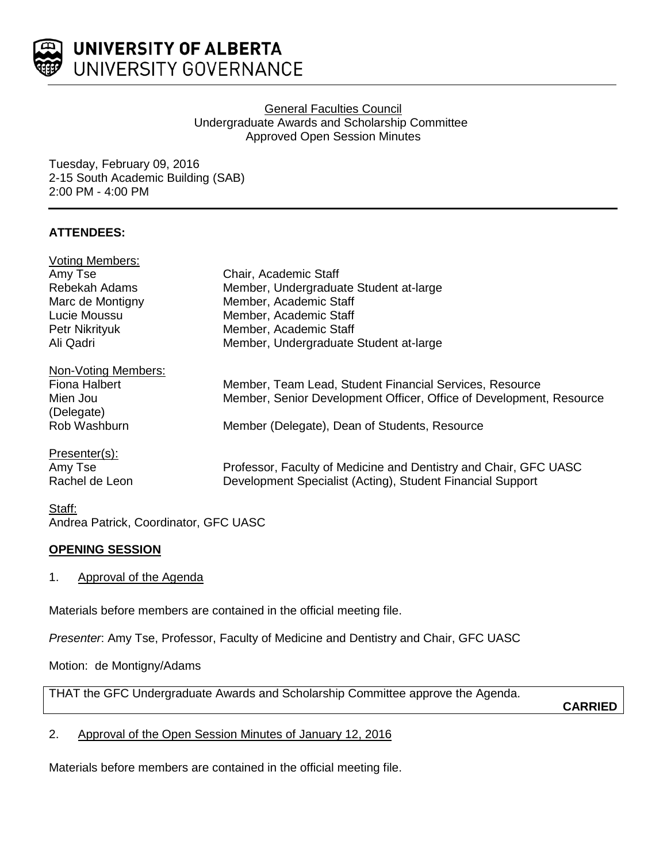

### General Faculties Council Undergraduate Awards and Scholarship Committee Approved Open Session Minutes

Tuesday, February 09, 2016 2-15 South Academic Building (SAB) 2:00 PM - 4:00 PM

# **ATTENDEES:**

| Chair, Academic Staff                                               |
|---------------------------------------------------------------------|
| Member, Undergraduate Student at-large                              |
| Member, Academic Staff                                              |
| Member, Academic Staff                                              |
| Member, Academic Staff                                              |
| Member, Undergraduate Student at-large                              |
|                                                                     |
| Member, Team Lead, Student Financial Services, Resource             |
| Member, Senior Development Officer, Office of Development, Resource |
|                                                                     |
| Member (Delegate), Dean of Students, Resource                       |
|                                                                     |
| Professor, Faculty of Medicine and Dentistry and Chair, GFC UASC    |
| Development Specialist (Acting), Student Financial Support          |
|                                                                     |

#### Staff: Andrea Patrick, Coordinator, GFC UASC

# **OPENING SESSION**

1. Approval of the Agenda

Materials before members are contained in the official meeting file.

*Presenter*: Amy Tse, Professor, Faculty of Medicine and Dentistry and Chair, GFC UASC

Motion: de Montigny/Adams

THAT the GFC Undergraduate Awards and Scholarship Committee approve the Agenda.

**CARRIED**

2. Approval of the Open Session Minutes of January 12, 2016

Materials before members are contained in the official meeting file.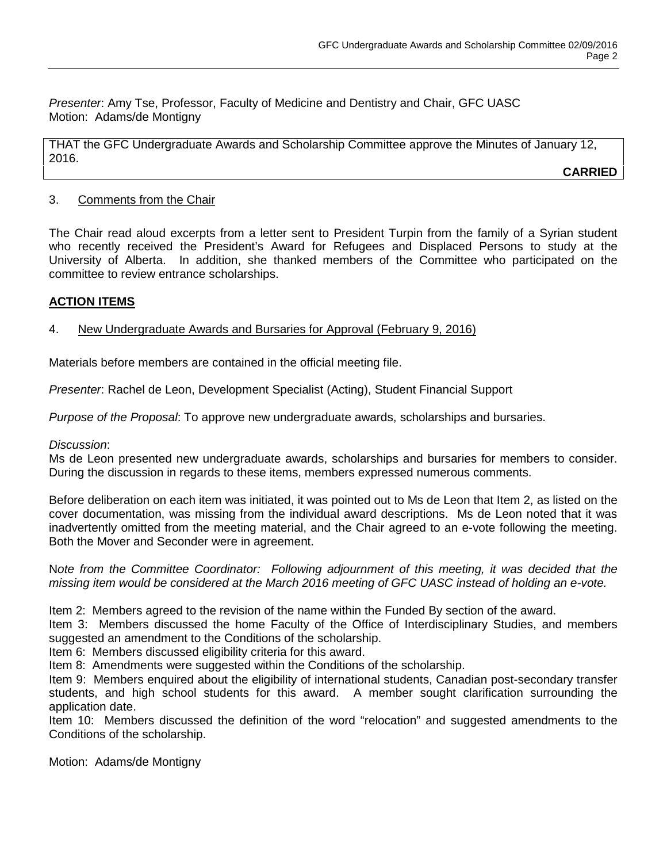*Presenter*: Amy Tse, Professor, Faculty of Medicine and Dentistry and Chair, GFC UASC Motion: Adams/de Montigny

THAT the GFC Undergraduate Awards and Scholarship Committee approve the Minutes of January 12, 2016.

**CARRIED**

#### 3. Comments from the Chair

The Chair read aloud excerpts from a letter sent to President Turpin from the family of a Syrian student who recently received the President's Award for Refugees and Displaced Persons to study at the University of Alberta. In addition, she thanked members of the Committee who participated on the committee to review entrance scholarships.

## **ACTION ITEMS**

# 4. New Undergraduate Awards and Bursaries for Approval (February 9, 2016)

Materials before members are contained in the official meeting file.

*Presenter*: Rachel de Leon, Development Specialist (Acting), Student Financial Support

*Purpose of the Proposal*: To approve new undergraduate awards, scholarships and bursaries.

## *Discussion*:

Ms de Leon presented new undergraduate awards, scholarships and bursaries for members to consider. During the discussion in regards to these items, members expressed numerous comments.

Before deliberation on each item was initiated, it was pointed out to Ms de Leon that Item 2, as listed on the cover documentation, was missing from the individual award descriptions. Ms de Leon noted that it was inadvertently omitted from the meeting material, and the Chair agreed to an e-vote following the meeting. Both the Mover and Seconder were in agreement.

N*ote from the Committee Coordinator: Following adjournment of this meeting, it was decided that the missing item would be considered at the March 2016 meeting of GFC UASC instead of holding an e-vote.*

Item 2: Members agreed to the revision of the name within the Funded By section of the award.

Item 3: Members discussed the home Faculty of the Office of Interdisciplinary Studies, and members suggested an amendment to the Conditions of the scholarship.

Item 6: Members discussed eligibility criteria for this award.

Item 8: Amendments were suggested within the Conditions of the scholarship.

Item 9: Members enquired about the eligibility of international students, Canadian post-secondary transfer students, and high school students for this award. A member sought clarification surrounding the application date.

Item 10: Members discussed the definition of the word "relocation" and suggested amendments to the Conditions of the scholarship.

Motion: Adams/de Montigny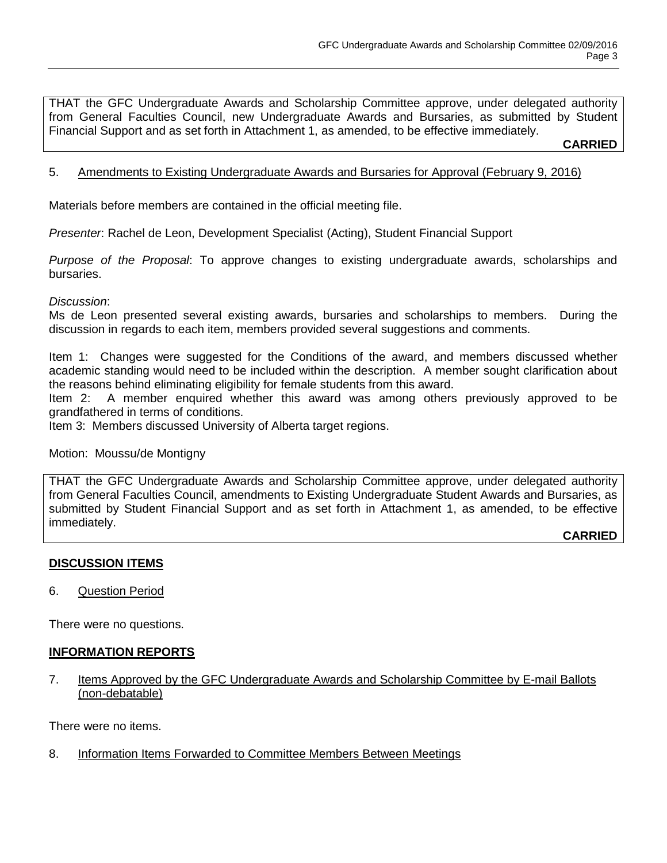THAT the GFC Undergraduate Awards and Scholarship Committee approve, under delegated authority from General Faculties Council, new Undergraduate Awards and Bursaries, as submitted by Student Financial Support and as set forth in Attachment 1, as amended, to be effective immediately.

**CARRIED**

### 5. Amendments to Existing Undergraduate Awards and Bursaries for Approval (February 9, 2016)

Materials before members are contained in the official meeting file.

*Presenter*: Rachel de Leon, Development Specialist (Acting), Student Financial Support

*Purpose of the Proposal*: To approve changes to existing undergraduate awards, scholarships and bursaries.

#### *Discussion*:

Ms de Leon presented several existing awards, bursaries and scholarships to members. During the discussion in regards to each item, members provided several suggestions and comments.

Item 1: Changes were suggested for the Conditions of the award, and members discussed whether academic standing would need to be included within the description. A member sought clarification about the reasons behind eliminating eligibility for female students from this award.

Item 2: A member enquired whether this award was among others previously approved to be grandfathered in terms of conditions.

Item 3: Members discussed University of Alberta target regions.

Motion: Moussu/de Montigny

THAT the GFC Undergraduate Awards and Scholarship Committee approve, under delegated authority from General Faculties Council, amendments to Existing Undergraduate Student Awards and Bursaries, as submitted by Student Financial Support and as set forth in Attachment 1, as amended, to be effective immediately.

**CARRIED**

#### **DISCUSSION ITEMS**

6. Question Period

There were no questions.

#### **INFORMATION REPORTS**

7. Items Approved by the GFC Undergraduate Awards and Scholarship Committee by E-mail Ballots (non-debatable)

There were no items.

8. Information Items Forwarded to Committee Members Between Meetings